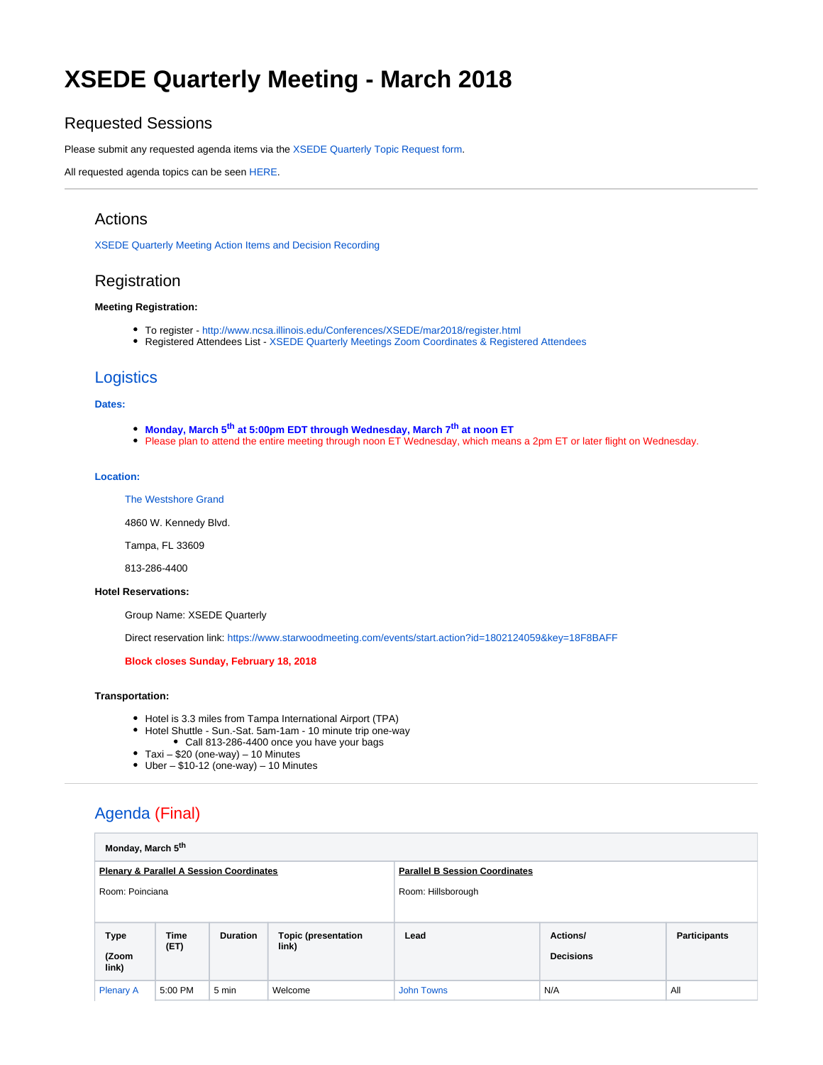# **XSEDE Quarterly Meeting - March 2018**

### Requested Sessions

Please submit any requested agenda items via the [XSEDE Quarterly Topic Request form.](https://goo.gl/forms/e1Ch2VxTAam67oWG3)

All requested agenda topics can be seen [HERE](https://docs.google.com/spreadsheets/d/12_VKh5ezqD9JvKrecUay-x2e2Bv1IClwx2lvkzro3ws/edit?usp=sharing).

### Actions

[XSEDE Quarterly Meeting Action Items and Decision Recording](https://confluence.xsede.org/display/XT/XSEDE+Quarterly+Meeting+Action+Items+and+Decision+Recording)

## Registration

#### **Meeting Registration:**

- To register <http://www.ncsa.illinois.edu/Conferences/XSEDE/mar2018/register.html>
- Registered Attendees List [XSEDE Quarterly Meetings Zoom Coordinates & Registered Attendees](https://confluence.xsede.org/pages/viewpage.action?pageId=23004200)

### **Logistics**

#### **Dates:**

- **Monday, March 5<sup>th</sup> at 5:00pm EDT through Wednesday, March 7<sup>th</sup> at noon ET**
- Please plan to attend the entire meeting through noon ET Wednesday, which means a 2pm ET or later flight on Wednesday.

#### **Location:**

#### [The Westshore Grand](http://www.starwoodhotels.com/tributeportfolio/property/overview/index.html?propertyID=4527&EM=aa_Google_My_Business__TX_4527__NAD)

4860 W. Kennedy Blvd.

Tampa, FL 33609

813-286-4400

#### **Hotel Reservations:**

Group Name: XSEDE Quarterly

Direct reservation link:<https://www.starwoodmeeting.com/events/start.action?id=1802124059&key=18F8BAFF>

#### **Block closes Sunday, February 18, 2018**

#### **Transportation:**

- Hotel is 3.3 miles from Tampa International Airport (TPA)
- Hotel Shuttle Sun.-Sat. 5am-1am 10 minute trip one-way Call 813-286-4400 once you have your bags
- $\bullet$  Taxi \$20 (one-way) 10 Minutes
- $\bullet$  Uber \$10-12 (one-way) 10 Minutes

# Agenda (Final)

|                                                     |                               | Monday, March 5 <sup>th</sup> |                 |                                     |                                       |                                     |                     |  |  |
|-----------------------------------------------------|-------------------------------|-------------------------------|-----------------|-------------------------------------|---------------------------------------|-------------------------------------|---------------------|--|--|
| <b>Plenary &amp; Parallel A Session Coordinates</b> |                               |                               |                 |                                     | <b>Parallel B Session Coordinates</b> |                                     |                     |  |  |
| Room: Poinciana                                     |                               |                               |                 |                                     | Room: Hillsborough                    |                                     |                     |  |  |
|                                                     | <b>Type</b><br>(Zoom<br>link) | <b>Time</b><br>(ET)           | <b>Duration</b> | <b>Topic (presentation</b><br>link) | Lead                                  | <b>Actions/</b><br><b>Decisions</b> | <b>Participants</b> |  |  |
|                                                     | <b>Plenary A</b>              | 5:00 PM                       | 5 min           | Welcome                             | <b>John Towns</b>                     | N/A                                 | All                 |  |  |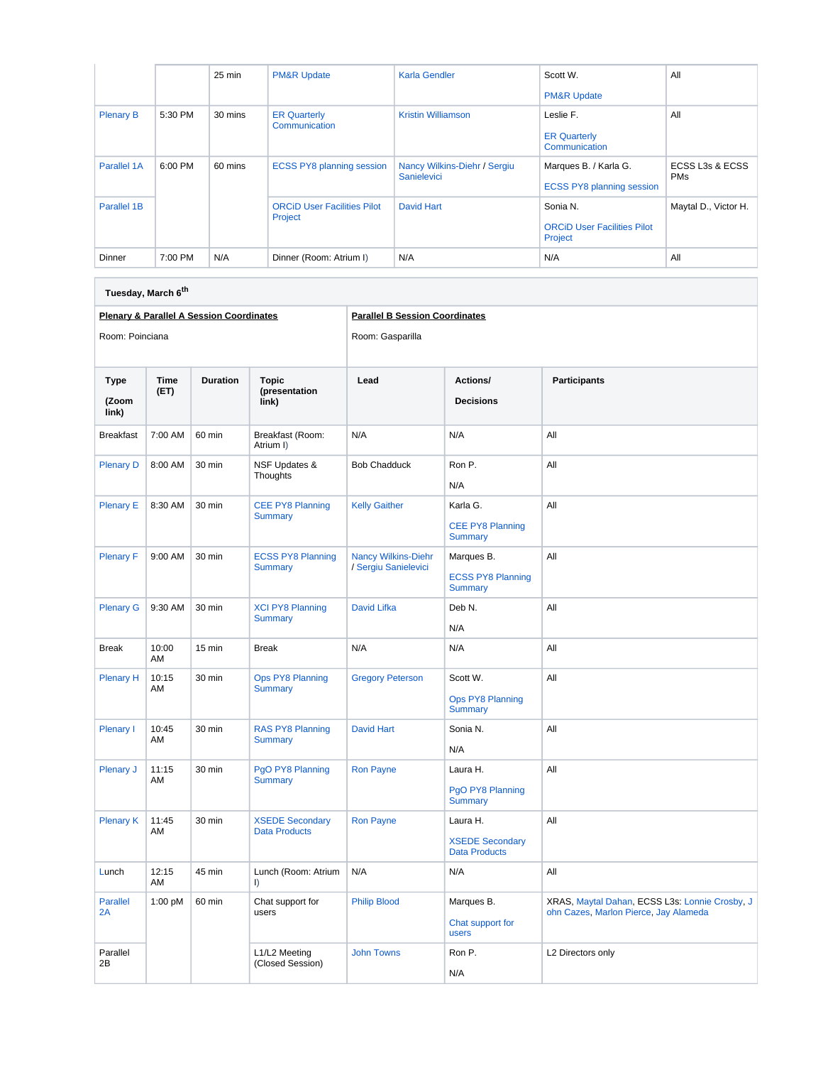|                  |           | 25 min  | <b>PM&amp;R Update</b>                        | Karla Gendler                                      | Scott W.<br><b>PM&amp;R Update</b>                        | All                           |
|------------------|-----------|---------|-----------------------------------------------|----------------------------------------------------|-----------------------------------------------------------|-------------------------------|
| <b>Plenary B</b> | 5:30 PM   | 30 mins | <b>ER Quarterly</b><br>Communication          | <b>Kristin Williamson</b>                          | Leslie F.<br><b>ER Quarterly</b><br>Communication         | All                           |
| Parallel 1A      | $6:00$ PM | 60 mins | <b>ECSS PY8 planning session</b>              | Nancy Wilkins-Diehr / Sergiu<br><b>Sanielevici</b> | Marques B. / Karla G.<br><b>ECSS PY8 planning session</b> | ECSS L3s & ECSS<br><b>PMs</b> |
| Parallel 1B      |           |         | <b>ORCID User Facilities Pilot</b><br>Project | David Hart                                         | Sonia N.<br><b>ORCID User Facilities Pilot</b><br>Project | Maytal D., Victor H.          |
| Dinner           | 7:00 PM   | N/A     | Dinner (Room: Atrium I)                       | N/A                                                | N/A                                                       | All                           |

| Tuesday, March 6 <sup>th</sup> |              |                                                     |                                                |                                                    |                                                            |                                                                                         |  |  |
|--------------------------------|--------------|-----------------------------------------------------|------------------------------------------------|----------------------------------------------------|------------------------------------------------------------|-----------------------------------------------------------------------------------------|--|--|
|                                |              | <b>Plenary &amp; Parallel A Session Coordinates</b> |                                                | <b>Parallel B Session Coordinates</b>              |                                                            |                                                                                         |  |  |
| Room: Poinciana                |              |                                                     |                                                | Room: Gasparilla                                   |                                                            |                                                                                         |  |  |
| <b>Type</b><br>(Zoom<br>link)  | Time<br>(ET) | <b>Duration</b>                                     | <b>Topic</b><br>(presentation<br>link)         | Lead                                               | Actions/<br><b>Decisions</b>                               | <b>Participants</b>                                                                     |  |  |
| <b>Breakfast</b>               | 7:00 AM      | 60 min                                              | Breakfast (Room:<br>Atrium I)                  | N/A                                                | N/A                                                        | All                                                                                     |  |  |
| <b>Plenary D</b>               | 8:00 AM      | 30 min                                              | <b>NSF Updates &amp;</b><br>Thoughts           | <b>Bob Chadduck</b>                                | Ron P.<br>N/A                                              | All                                                                                     |  |  |
| <b>Plenary E</b>               | 8:30 AM      | 30 min                                              | <b>CEE PY8 Planning</b><br><b>Summary</b>      | <b>Kelly Gaither</b>                               | Karla G.<br><b>CEE PY8 Planning</b><br><b>Summary</b>      | All                                                                                     |  |  |
| <b>Plenary F</b>               | 9:00 AM      | 30 min                                              | <b>ECSS PY8 Planning</b><br><b>Summary</b>     | <b>Nancy Wilkins-Diehr</b><br>/ Sergiu Sanielevici | Marques B.<br><b>ECSS PY8 Planning</b><br><b>Summary</b>   | All                                                                                     |  |  |
| <b>Plenary G</b>               | 9:30 AM      | 30 min                                              | <b>XCI PY8 Planning</b><br><b>Summary</b>      | <b>David Lifka</b>                                 | Deb N.<br>N/A                                              | All                                                                                     |  |  |
| <b>Break</b>                   | 10:00<br>AM  | 15 min                                              | <b>Break</b>                                   | N/A                                                | N/A                                                        | All                                                                                     |  |  |
| <b>Plenary H</b>               | 10:15<br>AM  | 30 min                                              | <b>Ops PY8 Planning</b><br><b>Summary</b>      | <b>Gregory Peterson</b>                            | Scott W.<br>Ops PY8 Planning<br><b>Summary</b>             | All                                                                                     |  |  |
| Plenary I                      | 10:45<br>AM  | 30 min                                              | RAS PY8 Planning<br><b>Summary</b>             | <b>David Hart</b>                                  | Sonia N.<br>N/A                                            | All                                                                                     |  |  |
| <b>Plenary J</b>               | 11:15<br>AM  | 30 min                                              | PgO PY8 Planning<br><b>Summary</b>             | <b>Ron Payne</b>                                   | Laura H.<br>PgO PY8 Planning<br><b>Summary</b>             | All                                                                                     |  |  |
| <b>Plenary K</b>               | 11:45<br>AM  | 30 min                                              | <b>XSEDE Secondary</b><br><b>Data Products</b> | <b>Ron Payne</b>                                   | Laura H.<br><b>XSEDE Secondary</b><br><b>Data Products</b> | All                                                                                     |  |  |
| Lunch                          | 12:15<br>AM  | 45 min                                              | Lunch (Room: Atrium<br>$\vert$                 | N/A                                                | N/A                                                        | All                                                                                     |  |  |
| <b>Parallel</b><br>2A          | 1:00 pM      | 60 min                                              | Chat support for<br>users                      | <b>Philip Blood</b>                                | Marques B.<br>Chat support for<br>users                    | XRAS, Maytal Dahan, ECSS L3s: Lonnie Crosby, J<br>ohn Cazes, Marlon Pierce, Jay Alameda |  |  |
| Parallel<br>2B                 |              |                                                     | L1/L2 Meeting<br>(Closed Session)              | <b>John Towns</b>                                  | Ron P.<br>N/A                                              | L2 Directors only                                                                       |  |  |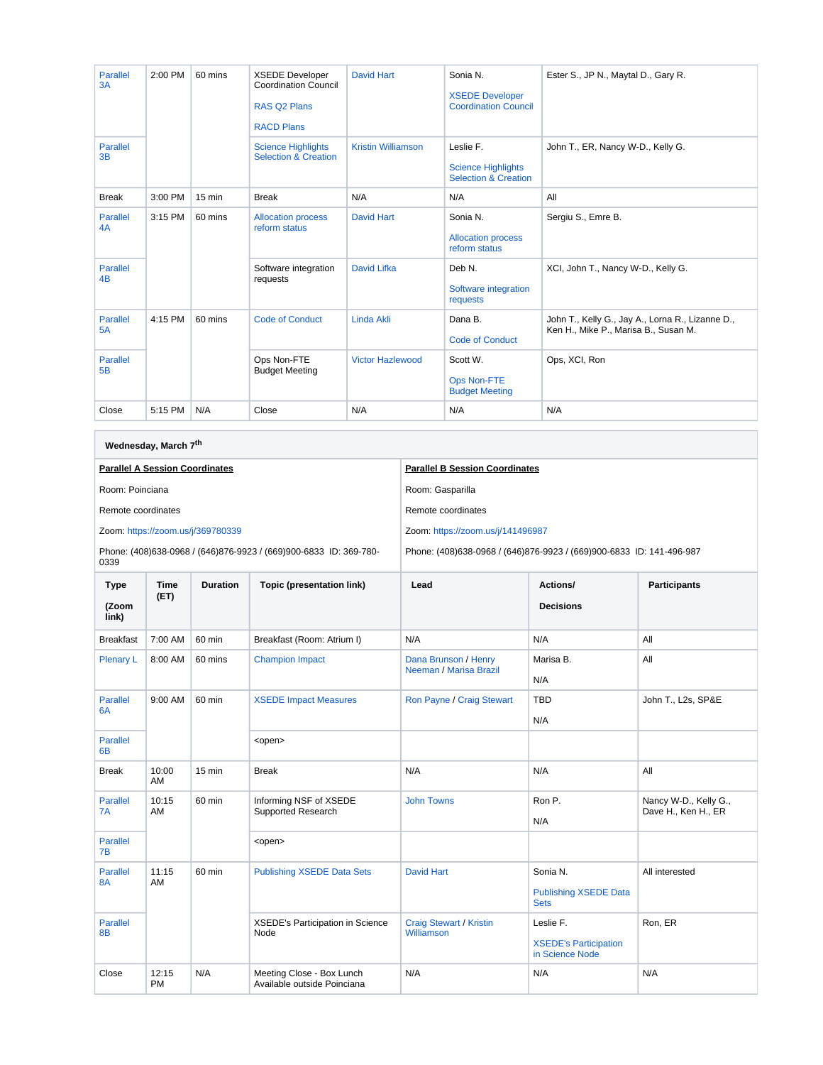| <b>Parallel</b><br>3A | 2:00 PM | 60 mins          | <b>XSEDE Developer</b><br><b>Coordination Council</b><br><b>RAS Q2 Plans</b><br><b>RACD Plans</b> | <b>David Hart</b>         | Sonia N.<br><b>XSEDE Developer</b><br><b>Coordination Council</b>         | Ester S., JP N., Maytal D., Gary R.                                                      |
|-----------------------|---------|------------------|---------------------------------------------------------------------------------------------------|---------------------------|---------------------------------------------------------------------------|------------------------------------------------------------------------------------------|
| <b>Parallel</b><br>3B |         |                  | <b>Science Highlights</b><br><b>Selection &amp; Creation</b>                                      | <b>Kristin Williamson</b> | Leslie F.<br><b>Science Highlights</b><br><b>Selection &amp; Creation</b> | John T., ER, Nancy W-D., Kelly G.                                                        |
| <b>Break</b>          | 3:00 PM | $15 \text{ min}$ | <b>Break</b>                                                                                      | N/A                       | N/A                                                                       | All                                                                                      |
| <b>Parallel</b><br>4A | 3:15 PM | 60 mins          | <b>Allocation process</b><br>reform status                                                        | <b>David Hart</b>         | Sonia N.<br><b>Allocation process</b><br>reform status                    | Sergiu S., Emre B.                                                                       |
| <b>Parallel</b><br>4B |         |                  | Software integration<br>requests                                                                  | <b>David Lifka</b>        | Deb N.<br>Software integration<br>requests                                | XCI, John T., Nancy W-D., Kelly G.                                                       |
| <b>Parallel</b><br>5A | 4:15 PM | 60 mins          | <b>Code of Conduct</b>                                                                            | <b>Linda Akli</b>         | Dana B.<br><b>Code of Conduct</b>                                         | John T., Kelly G., Jay A., Lorna R., Lizanne D.,<br>Ken H., Mike P., Marisa B., Susan M. |
| <b>Parallel</b><br>5B |         |                  | Ops Non-FTE<br><b>Budget Meeting</b>                                                              | <b>Victor Hazlewood</b>   | Scott W.<br>Ops Non-FTE<br><b>Budget Meeting</b>                          | Ops, XCI, Ron                                                                            |
| Close                 | 5:15 PM | N/A              | Close                                                                                             | N/A                       | N/A                                                                       | N/A                                                                                      |

 $\overline{\phantom{0}}$ 

| Wednesday, March 7 <sup>th</sup>     |                                       |                                   |                                                                   |                                                                      |                                                 |                     |                       |  |
|--------------------------------------|---------------------------------------|-----------------------------------|-------------------------------------------------------------------|----------------------------------------------------------------------|-------------------------------------------------|---------------------|-----------------------|--|
|                                      | <b>Parallel A Session Coordinates</b> |                                   |                                                                   | <b>Parallel B Session Coordinates</b>                                |                                                 |                     |                       |  |
| Room: Poinciana                      |                                       |                                   |                                                                   | Room: Gasparilla                                                     |                                                 |                     |                       |  |
| Remote coordinates                   |                                       |                                   |                                                                   | Remote coordinates                                                   |                                                 |                     |                       |  |
|                                      |                                       | Zoom: https://zoom.us/j/369780339 |                                                                   | Zoom: https://zoom.us/j/141496987                                    |                                                 |                     |                       |  |
| 0339                                 |                                       |                                   | Phone: (408)638-0968 / (646)876-9923 / (669)900-6833 ID: 369-780- | Phone: (408)638-0968 / (646)876-9923 / (669)900-6833 ID: 141-496-987 |                                                 |                     |                       |  |
| <b>Type</b>                          | <b>Time</b>                           | <b>Duration</b>                   | Topic (presentation link)                                         | Lead                                                                 | Actions/                                        | <b>Participants</b> |                       |  |
| (Zoom<br>link)                       | (ET)                                  |                                   |                                                                   |                                                                      | <b>Decisions</b>                                |                     |                       |  |
| <b>Breakfast</b>                     | 7:00 AM                               | 60 min                            | Breakfast (Room: Atrium I)                                        | N/A                                                                  | N/A                                             | All                 |                       |  |
| <b>Plenary L</b>                     | 8:00 AM                               | 60 mins                           | <b>Champion Impact</b>                                            | Dana Brunson / Henry<br>Neeman / Marisa Brazil                       | Marisa B.                                       | All                 |                       |  |
|                                      |                                       |                                   |                                                                   |                                                                      | N/A                                             |                     |                       |  |
| <b>Parallel</b><br>6A                | 9:00 AM                               | 60 min                            | <b>XSEDE Impact Measures</b>                                      | Ron Payne / Craig Stewart                                            | <b>TBD</b>                                      | John T., L2s, SP&E  |                       |  |
|                                      |                                       |                                   |                                                                   |                                                                      | N/A                                             |                     |                       |  |
| <b>Parallel</b><br>6B                |                                       |                                   | <open></open>                                                     |                                                                      |                                                 |                     |                       |  |
| <b>Break</b>                         | 10:00<br>AM                           | 15 min                            | <b>Break</b>                                                      | N/A                                                                  | N/A                                             | All                 |                       |  |
| <b>Parallel</b><br>10:15<br>7A<br>AM |                                       | 60 min                            | Informing NSF of XSEDE<br>Supported Research                      |                                                                      | <b>John Towns</b>                               | Ron P.              | Nancy W-D., Kelly G., |  |
|                                      |                                       |                                   |                                                                   |                                                                      | N/A                                             | Dave H., Ken H., ER |                       |  |
| <b>Parallel</b><br>7B                |                                       |                                   | <open></open>                                                     |                                                                      |                                                 |                     |                       |  |
| <b>Parallel</b>                      | 11:15                                 | 60 min                            | <b>Publishing XSEDE Data Sets</b>                                 | <b>David Hart</b>                                                    | Sonia N.                                        | All interested      |                       |  |
| 8A                                   | AM                                    |                                   |                                                                   |                                                                      | <b>Publishing XSEDE Data</b><br><b>Sets</b>     |                     |                       |  |
| <b>Parallel</b><br>8B                |                                       |                                   | XSEDE's Participation in Science<br>Node                          | <b>Craig Stewart / Kristin</b><br>Williamson                         | Leslie F.                                       | Ron, ER             |                       |  |
|                                      |                                       |                                   |                                                                   |                                                                      | <b>XSEDE's Participation</b><br>in Science Node |                     |                       |  |
| Close                                | 12:15<br><b>PM</b>                    | N/A                               | Meeting Close - Box Lunch<br>Available outside Poinciana          | N/A                                                                  | N/A                                             | N/A                 |                       |  |